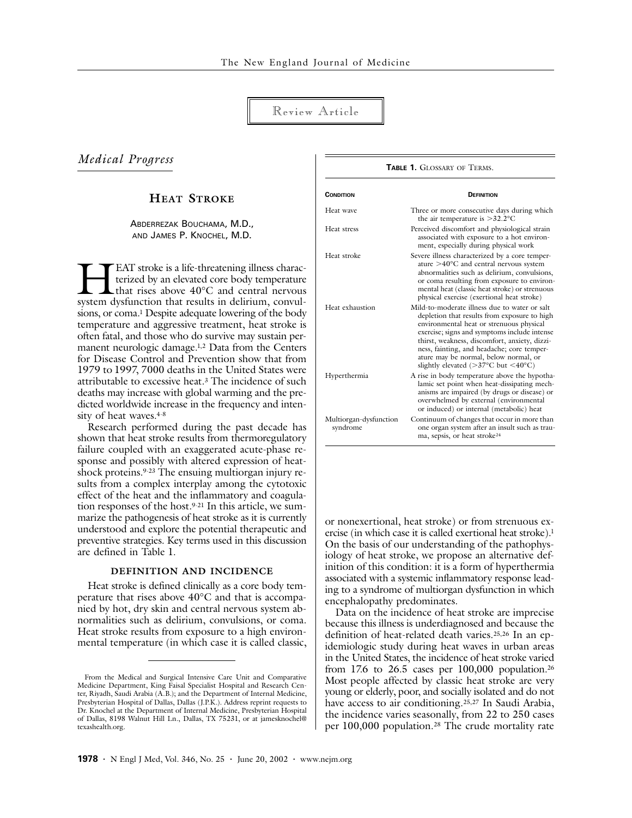# Review Article

# *Medical Progress*

# **HEAT STROKE**

## ABDERREZAK BOUCHAMA, M.D., AND JAMES P. KNOCHEL, M.D.

EAT stroke is a life-threatening illness characterized by an elevated core body temperature that rises above 40°C and central nervous **EAT** stroke is a life-threatening illness characterized by an elevated core body temperature that rises above 40°C and central nervous system dysfunction that results in delirium, convulsions, or coma.<sup>1</sup> Despite adequate lowering of the body temperature and aggressive treatment, heat stroke is often fatal, and those who do survive may sustain permanent neurologic damage.1,2 Data from the Centers for Disease Control and Prevention show that from 1979 to 1997, 7000 deaths in the United States were attributable to excessive heat.3 The incidence of such deaths may increase with global warming and the predicted worldwide increase in the frequency and intensity of heat waves.<sup>4-8</sup>

Research performed during the past decade has shown that heat stroke results from thermoregulatory failure coupled with an exaggerated acute-phase response and possibly with altered expression of heatshock proteins.9-23 The ensuing multiorgan injury results from a complex interplay among the cytotoxic effect of the heat and the inflammatory and coagulation responses of the host.9-21 In this article, we summarize the pathogenesis of heat stroke as it is currently understood and explore the potential therapeutic and preventive strategies. Key terms used in this discussion are defined in Table 1.

## **DEFINITION AND INCIDENCE**

Heat stroke is defined clinically as a core body temperature that rises above 40°C and that is accompanied by hot, dry skin and central nervous system abnormalities such as delirium, convulsions, or coma. Heat stroke results from exposure to a high environmental temperature (in which case it is called classic,

## **CONDITION DEFINITION** Heat wave Three or more consecutive days during which the air temperature is >32.2°C Heat stress Perceived discomfort and physiological strain associated with exposure to a hot environment, especially during physical work Heat stroke Severe illness characterized by a core temperature >40°C and central nervous system abnormalities such as delirium, convulsions, or coma resulting from exposure to environmental heat (classic heat stroke) or strenuous

**TABLE 1. GLOSSARY OF TERMS.** 

physical exercise (exertional heat stroke) Heat exhaustion Mild-to-moderate illness due to water or salt depletion that results from exposure to high environmental heat or strenuous physical exercise; signs and symptoms include intense thirst, weakness, discomfort, anxiety, dizziness, fainting, and headache; core temperature may be normal, below normal, or slightly elevated (>37°C but <40°C) Hyperthermia A rise in body temperature above the hypothalamic set point when heat-dissipating mechanisms are impaired (by drugs or disease) or overwhelmed by external (environmental or induced) or internal (metabolic) heat Multiorgan-dysfunction syndrome Continuum of changes that occur in more than one organ system after an insult such as trauma, sepsis, or heat stroke24

or nonexertional, heat stroke) or from strenuous exercise (in which case it is called exertional heat stroke).<sup>1</sup> On the basis of our understanding of the pathophysiology of heat stroke, we propose an alternative definition of this condition: it is a form of hyperthermia associated with a systemic inflammatory response leading to a syndrome of multiorgan dysfunction in which encephalopathy predominates.

Data on the incidence of heat stroke are imprecise because this illness is underdiagnosed and because the definition of heat-related death varies.25,26 In an epidemiologic study during heat waves in urban areas in the United States, the incidence of heat stroke varied from 17.6 to 26.5 cases per 100,000 population.26 Most people affected by classic heat stroke are very young or elderly, poor, and socially isolated and do not have access to air conditioning.25,27 In Saudi Arabia, the incidence varies seasonally, from 22 to 250 cases per 100,000 population.28 The crude mortality rate

From the Medical and Surgical Intensive Care Unit and Comparative Medicine Department, King Faisal Specialist Hospital and Research Center, Riyadh, Saudi Arabia (A.B.); and the Department of Internal Medicine, Presbyterian Hospital of Dallas, Dallas (J.P.K.). Address reprint requests to Dr. Knochel at the Department of Internal Medicine, Presbyterian Hospital of Dallas, 8198 Walnut Hill Ln., Dallas, TX 75231, or at jamesknochel@ texashealth.org.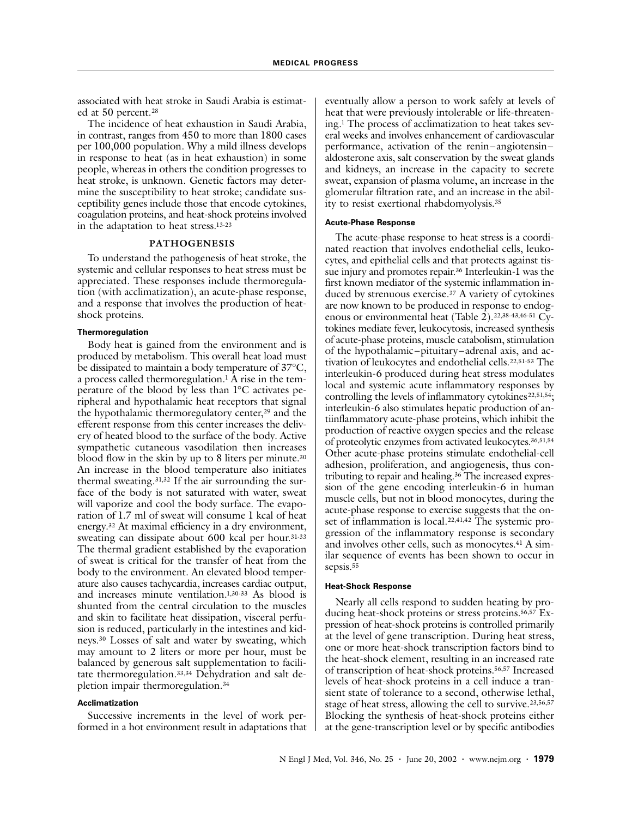associated with heat stroke in Saudi Arabia is estimated at 50 percent.<sup>28</sup>

The incidence of heat exhaustion in Saudi Arabia, in contrast, ranges from 450 to more than 1800 cases per 100,000 population. Why a mild illness develops in response to heat (as in heat exhaustion) in some people, whereas in others the condition progresses to heat stroke, is unknown. Genetic factors may determine the susceptibility to heat stroke; candidate susceptibility genes include those that encode cytokines, coagulation proteins, and heat-shock proteins involved in the adaptation to heat stress.13-23

## **PATHOGENESIS**

To understand the pathogenesis of heat stroke, the systemic and cellular responses to heat stress must be appreciated. These responses include thermoregulation (with acclimatization), an acute-phase response, and a response that involves the production of heatshock proteins.

### **Thermoregulation**

Body heat is gained from the environment and is produced by metabolism. This overall heat load must be dissipated to maintain a body temperature of 37°C, a process called thermoregulation.<sup>1</sup> A rise in the temperature of the blood by less than 1°C activates peripheral and hypothalamic heat receptors that signal the hypothalamic thermoregulatory center,<sup>29</sup> and the efferent response from this center increases the delivery of heated blood to the surface of the body. Active sympathetic cutaneous vasodilation then increases blood flow in the skin by up to 8 liters per minute.<sup>30</sup> An increase in the blood temperature also initiates thermal sweating.31,32 If the air surrounding the surface of the body is not saturated with water, sweat will vaporize and cool the body surface. The evaporation of 1.7 ml of sweat will consume 1 kcal of heat energy.32 At maximal efficiency in a dry environment, sweating can dissipate about 600 kcal per hour.31-33 The thermal gradient established by the evaporation of sweat is critical for the transfer of heat from the body to the environment. An elevated blood temperature also causes tachycardia, increases cardiac output, and increases minute ventilation.1,30-33 As blood is shunted from the central circulation to the muscles and skin to facilitate heat dissipation, visceral perfusion is reduced, particularly in the intestines and kidneys.30 Losses of salt and water by sweating, which may amount to 2 liters or more per hour, must be balanced by generous salt supplementation to facilitate thermoregulation.33,34 Dehydration and salt depletion impair thermoregulation.34

### **Acclimatization**

Successive increments in the level of work performed in a hot environment result in adaptations that eventually allow a person to work safely at levels of heat that were previously intolerable or life-threatening.1 The process of acclimatization to heat takes several weeks and involves enhancement of cardiovascular performance, activation of the renin–angiotensin– aldosterone axis, salt conservation by the sweat glands and kidneys, an increase in the capacity to secrete sweat, expansion of plasma volume, an increase in the glomerular filtration rate, and an increase in the ability to resist exertional rhabdomyolysis.35

### **Acute-Phase Response**

The acute-phase response to heat stress is a coordinated reaction that involves endothelial cells, leukocytes, and epithelial cells and that protects against tissue injury and promotes repair.36 Interleukin-1 was the first known mediator of the systemic inflammation induced by strenuous exercise.37 A variety of cytokines are now known to be produced in response to endogenous or environmental heat (Table  $2$ ).<sup>22,38-43,46-51</sup> Cytokines mediate fever, leukocytosis, increased synthesis of acute-phase proteins, muscle catabolism, stimulation of the hypothalamic–pituitary–adrenal axis, and activation of leukocytes and endothelial cells.22,51-53 The interleukin-6 produced during heat stress modulates local and systemic acute inflammatory responses by controlling the levels of inflammatory cytokines<sup>22,51,54</sup>; interleukin-6 also stimulates hepatic production of antiinflammatory acute-phase proteins, which inhibit the production of reactive oxygen species and the release of proteolytic enzymes from activated leukocytes.36,51,54 Other acute-phase proteins stimulate endothelial-cell adhesion, proliferation, and angiogenesis, thus contributing to repair and healing.36 The increased expression of the gene encoding interleukin-6 in human muscle cells, but not in blood monocytes, during the acute-phase response to exercise suggests that the onset of inflammation is local.22,41,42 The systemic progression of the inflammatory response is secondary and involves other cells, such as monocytes.<sup>41</sup> A similar sequence of events has been shown to occur in sepsis.<sup>55</sup>

### **Heat-Shock Response**

Nearly all cells respond to sudden heating by producing heat-shock proteins or stress proteins.56,57 Expression of heat-shock proteins is controlled primarily at the level of gene transcription. During heat stress, one or more heat-shock transcription factors bind to the heat-shock element, resulting in an increased rate of transcription of heat-shock proteins.56,57 Increased levels of heat-shock proteins in a cell induce a transient state of tolerance to a second, otherwise lethal, stage of heat stress, allowing the cell to survive.<sup>23,56,57</sup> Blocking the synthesis of heat-shock proteins either at the gene-transcription level or by specific antibodies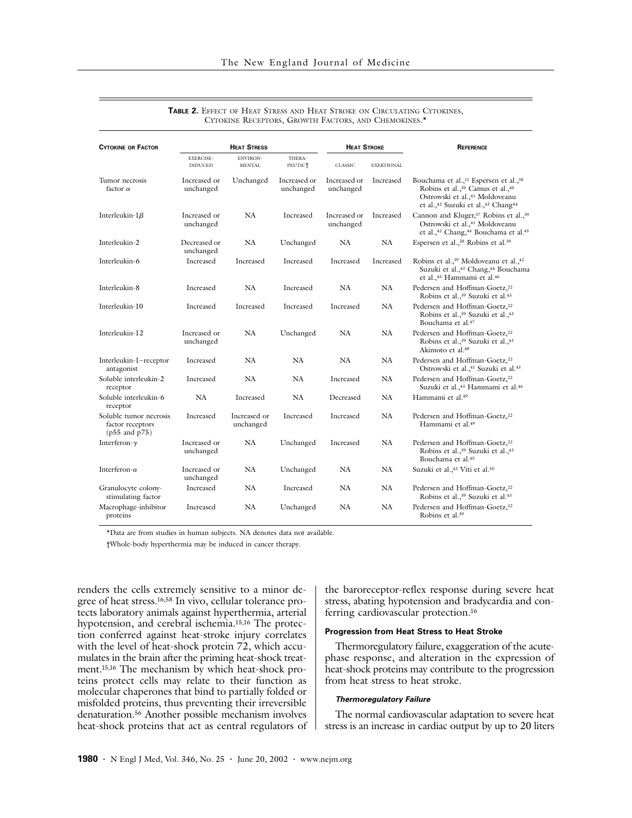| <b>CYTOKINE OR FACTOR</b>                                              | <b>HEAT STRESS</b>                 |                                  |                               | <b>HEAT STROKE</b>        |                   | <b>REFERENCE</b>                                                                                                                                                                                              |
|------------------------------------------------------------------------|------------------------------------|----------------------------------|-------------------------------|---------------------------|-------------------|---------------------------------------------------------------------------------------------------------------------------------------------------------------------------------------------------------------|
|                                                                        | <b>EXERCISE-</b><br><b>INDUCED</b> | <b>ENVIRON-</b><br><b>MENTAL</b> | THERA-<br>PEUTIC <sup>+</sup> | <b>CLASSIC</b>            | <b>EXERTIONAL</b> |                                                                                                                                                                                                               |
| Tumor necrosis<br>factor $\alpha$                                      | Increased or<br>unchanged          | Unchanged                        | Increased or<br>unchanged     | Increased or<br>unchanged | Increased         | Bouchama et al., <sup>11</sup> Espersen et al., <sup>38</sup><br>Robins et al., <sup>39</sup> Camus et al., <sup>40</sup><br>Ostrowski et al., <sup>41</sup> Moldoveanu<br>et al.,42 Suzuki et al.,43 Chang44 |
| Interleukin- $1\beta$                                                  | Increased or<br>unchanged          | NA                               | Increased                     | Increased or<br>unchanged | Increased         | Cannon and Kluger, <sup>37</sup> Robins et al., <sup>39</sup><br>Ostrowski et al., <sup>41</sup> Moldoveanu<br>et al., <sup>42</sup> Chang, <sup>44</sup> Bouchama et al. <sup>45</sup>                       |
| Interleukin-2                                                          | Decreased or<br>unchanged          | NA                               | Unchanged                     | NA                        | NA                | Espersen et al., <sup>38</sup> Robins et al. <sup>39</sup>                                                                                                                                                    |
| Interleukin-6                                                          | Increased                          | Increased                        | Increased                     | Increased                 | Increased         | Robins et al., <sup>39</sup> Moldoveanu et al., <sup>42</sup><br>Suzuki et al., <sup>43</sup> Chang, <sup>44</sup> Bouchama<br>et al., <sup>45</sup> Hammami et al. <sup>46</sup>                             |
| Interleukin-8                                                          | Increased                          | NA                               | Increased                     | NA                        | NA                | Pedersen and Hoffman-Goetz, <sup>22</sup><br>Robins et al., <sup>39</sup> Suzuki et al. <sup>43</sup>                                                                                                         |
| Interleukin-10                                                         | Increased                          | Increased                        | Increased                     | Increased                 | NA                | Pedersen and Hoffman-Goetz, <sup>22</sup><br>Robins et al., <sup>39</sup> Suzuki et al., <sup>43</sup><br>Bouchama et al. <sup>47</sup>                                                                       |
| Interleukin-12                                                         | Increased or<br>unchanged          | <b>NA</b>                        | Unchanged                     | <b>NA</b>                 | NA                | Pedersen and Hoffman-Goetz, <sup>22</sup><br>Robins et al., <sup>39</sup> Suzuki et al., <sup>43</sup><br>Akimoto et al. <sup>48</sup>                                                                        |
| Interleukin-1-receptor<br>antagonist                                   | Increased                          | <b>NA</b>                        | <b>NA</b>                     | <b>NA</b>                 | NA.               | Pedersen and Hoffman-Goetz, <sup>22</sup><br>Ostrowski et al., <sup>41</sup> Suzuki et al. <sup>43</sup>                                                                                                      |
| Soluble interleukin-2<br>receptor                                      | Increased                          | <b>NA</b>                        | NA                            | Increased                 | NA                | Pedersen and Hoffman-Goetz, <sup>22</sup><br>Suzuki et al.,43 Hammami et al.46                                                                                                                                |
| Soluble interleukin-6<br>receptor                                      | NA                                 | Increased                        | NA                            | Decreased                 | NA                | Hammami et al. <sup>49</sup>                                                                                                                                                                                  |
| Soluble tumor necrosis<br>factor receptors<br>$(p55 \text{ and } p75)$ | Increased                          | Increased or<br>unchanged        | Increased                     | Increased                 | NA                | Pedersen and Hoffman-Goetz, <sup>22</sup><br>Hammami et al. <sup>49</sup>                                                                                                                                     |
| Interferon- $\gamma$                                                   | Increased or<br>unchanged          | NA                               | Unchanged                     | Increased                 | NA                | Pedersen and Hoffman-Goetz, <sup>22</sup><br>Robins et al., <sup>39</sup> Suzuki et al., <sup>43</sup><br>Bouchama et al. <sup>45</sup>                                                                       |
| Interferon- $\alpha$                                                   | Increased or<br>unchanged          | NA                               | Unchanged                     | NA                        | NA                | Suzuki et al., <sup>43</sup> Viti et al. <sup>50</sup>                                                                                                                                                        |
| Granulocyte colony-<br>stimulating factor                              | Increased                          | <b>NA</b>                        | Increased                     | <b>NA</b>                 | NA                | Pedersen and Hoffman-Goetz, <sup>22</sup><br>Robins et al., <sup>39</sup> Suzuki et al. <sup>43</sup>                                                                                                         |
| Macrophage-inhibitor<br>proteins                                       | Increased                          | NA                               | Unchanged                     | NA                        | NA                | Pedersen and Hoffman-Goetz, <sup>22</sup><br>Robins et al. <sup>39</sup>                                                                                                                                      |

| TABLE 2. EFFECT OF HEAT STRESS AND HEAT STROKE ON CIRCULATING CYTOKINES, |
|--------------------------------------------------------------------------|
| CYTOKINE RECEPTORS, GROWTH FACTORS, AND CHEMOKINES. <sup>*</sup>         |

\*Data are from studies in human subjects. NA denotes data not available.

†Whole-body hyperthermia may be induced in cancer therapy.

renders the cells extremely sensitive to a minor degree of heat stress.16,58 In vivo, cellular tolerance protects laboratory animals against hyperthermia, arterial hypotension, and cerebral ischemia.15,16 The protection conferred against heat-stroke injury correlates with the level of heat-shock protein 72, which accumulates in the brain after the priming heat-shock treatment.15,16 The mechanism by which heat-shock proteins protect cells may relate to their function as molecular chaperones that bind to partially folded or misfolded proteins, thus preventing their irreversible denaturation.56 Another possible mechanism involves heat-shock proteins that act as central regulators of the baroreceptor-reflex response during severe heat stress, abating hypotension and bradycardia and conferring cardiovascular protection.16

### **Progression from Heat Stress to Heat Stroke**

Thermoregulatory failure, exaggeration of the acutephase response, and alteration in the expression of heat-shock proteins may contribute to the progression from heat stress to heat stroke.

## *Thermoregulatory Failure*

The normal cardiovascular adaptation to severe heat stress is an increase in cardiac output by up to 20 liters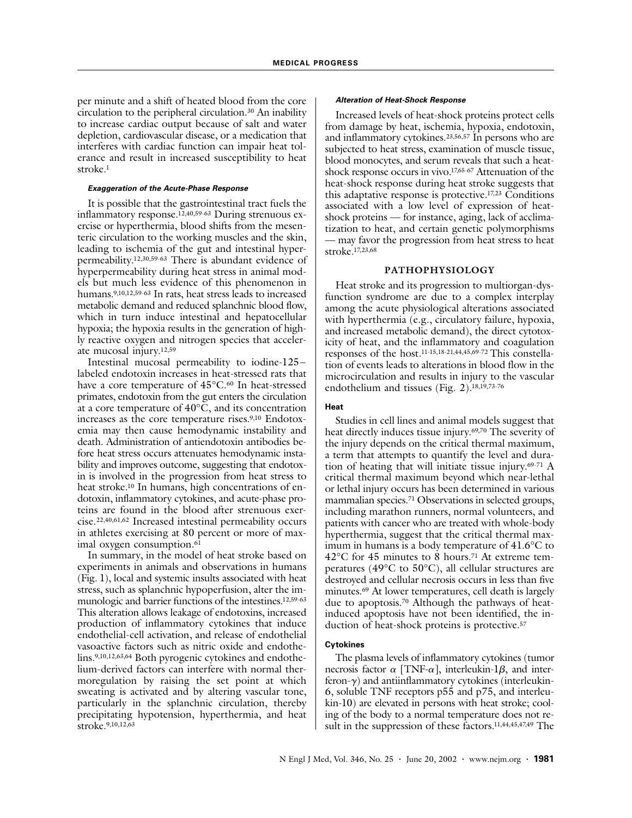per minute and a shift of heated blood from the core circulation to the peripheral circulation.30 An inability to increase cardiac output because of salt and water depletion, cardiovascular disease, or a medication that interferes with cardiac function can impair heat tolerance and result in increased susceptibility to heat stroke.1

## *Exaggeration of the Acute-Phase Response*

It is possible that the gastrointestinal tract fuels the inflammatory response.12,40,59-63 During strenuous exercise or hyperthermia, blood shifts from the mesenteric circulation to the working muscles and the skin, leading to ischemia of the gut and intestinal hyperpermeability.12,30,59-63 There is abundant evidence of hyperpermeability during heat stress in animal models but much less evidence of this phenomenon in humans.9,10,12,59-63 In rats, heat stress leads to increased metabolic demand and reduced splanchnic blood flow, which in turn induce intestinal and hepatocellular hypoxia; the hypoxia results in the generation of highly reactive oxygen and nitrogen species that accelerate mucosal injury.12,59

Intestinal mucosal permeability to iodine-125– labeled endotoxin increases in heat-stressed rats that have a core temperature of 45°C.<sup>60</sup> In heat-stressed primates, endotoxin from the gut enters the circulation at a core temperature of  $40^{\circ}$ C, and its concentration increases as the core temperature rises.9,10 Endotoxemia may then cause hemodynamic instability and death. Administration of antiendotoxin antibodies before heat stress occurs attenuates hemodynamic instability and improves outcome, suggesting that endotoxin is involved in the progression from heat stress to heat stroke.<sup>10</sup> In humans, high concentrations of endotoxin, inflammatory cytokines, and acute-phase proteins are found in the blood after strenuous exercise.22,40,61,62 Increased intestinal permeability occurs in athletes exercising at 80 percent or more of maximal oxygen consumption.<sup>61</sup>

In summary, in the model of heat stroke based on experiments in animals and observations in humans (Fig. 1), local and systemic insults associated with heat stress, such as splanchnic hypoperfusion, alter the immunologic and barrier functions of the intestines.12,59-63 This alteration allows leakage of endotoxins, increased production of inflammatory cytokines that induce endothelial-cell activation, and release of endothelial vasoactive factors such as nitric oxide and endothelins.9,10,12,63,64 Both pyrogenic cytokines and endothelium-derived factors can interfere with normal thermoregulation by raising the set point at which sweating is activated and by altering vascular tone, particularly in the splanchnic circulation, thereby precipitating hypotension, hyperthermia, and heat stroke.<sup>9,10,12,63</sup>

## *Alteration of Heat-Shock Response*

Increased levels of heat-shock proteins protect cells from damage by heat, ischemia, hypoxia, endotoxin, and inflammatory cytokines.23,56,57 In persons who are subjected to heat stress, examination of muscle tissue, blood monocytes, and serum reveals that such a heatshock response occurs in vivo.17,65-67 Attenuation of the heat-shock response during heat stroke suggests that this adaptative response is protective.17,23 Conditions associated with a low level of expression of heatshock proteins — for instance, aging, lack of acclimatization to heat, and certain genetic polymorphisms — may favor the progression from heat stress to heat stroke.17,23,68

### **PATHOPHYSIOLOGY**

Heat stroke and its progression to multiorgan-dysfunction syndrome are due to a complex interplay among the acute physiological alterations associated with hyperthermia (e.g., circulatory failure, hypoxia, and increased metabolic demand), the direct cytotoxicity of heat, and the inflammatory and coagulation responses of the host.11-15,18-21,44,45,69-72 This constellation of events leads to alterations in blood flow in the microcirculation and results in injury to the vascular endothelium and tissues (Fig. 2).18,19,73-76

## **Heat**

Studies in cell lines and animal models suggest that heat directly induces tissue injury.69,70 The severity of the injury depends on the critical thermal maximum, a term that attempts to quantify the level and duration of heating that will initiate tissue injury.69-71 A critical thermal maximum beyond which near-lethal or lethal injury occurs has been determined in various mammalian species.71 Observations in selected groups, including marathon runners, normal volunteers, and patients with cancer who are treated with whole-body hyperthermia, suggest that the critical thermal maximum in humans is a body temperature of 41.6°C to 42°C for 45 minutes to 8 hours.71 At extreme temperatures (49°C to 50°C), all cellular structures are destroyed and cellular necrosis occurs in less than five minutes.<sup>69</sup> At lower temperatures, cell death is largely due to apoptosis.70 Although the pathways of heatinduced apoptosis have not been identified, the induction of heat-shock proteins is protective.<sup>57</sup>

### **Cytokines**

The plasma levels of inflammatory cytokines (tumor necrosis factor  $\alpha$  [TNF- $\alpha$ ], interleukin-1 $\beta$ , and inter $feron-y$ ) and antiinflammatory cytokines (interleukin-6, soluble TNF receptors p55 and p75, and interleukin-10) are elevated in persons with heat stroke; cooling of the body to a normal temperature does not result in the suppression of these factors.<sup>11,44,45,47,49</sup> The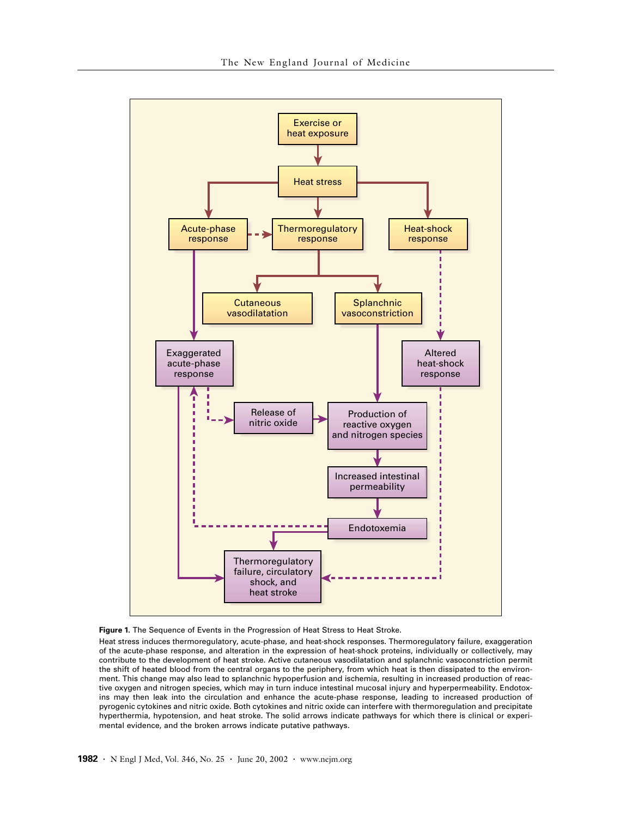



Heat stress induces thermoregulatory, acute-phase, and heat-shock responses. Thermoregulatory failure, exaggeration of the acute-phase response, and alteration in the expression of heat-shock proteins, individually or collectively, may contribute to the development of heat stroke. Active cutaneous vasodilatation and splanchnic vasoconstriction permit the shift of heated blood from the central organs to the periphery, from which heat is then dissipated to the environment. This change may also lead to splanchnic hypoperfusion and ischemia, resulting in increased production of reactive oxygen and nitrogen species, which may in turn induce intestinal mucosal injury and hyperpermeability. Endotoxins may then leak into the circulation and enhance the acute-phase response, leading to increased production of pyrogenic cytokines and nitric oxide. Both cytokines and nitric oxide can interfere with thermoregulation and precipitate hyperthermia, hypotension, and heat stroke. The solid arrows indicate pathways for which there is clinical or experimental evidence, and the broken arrows indicate putative pathways.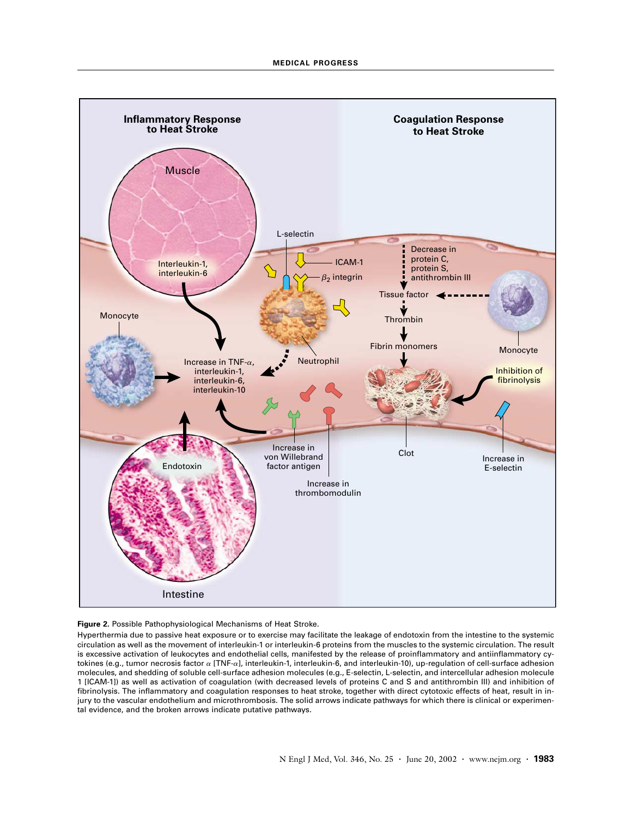

### **Figure 2.** Possible Pathophysiological Mechanisms of Heat Stroke.

Hyperthermia due to passive heat exposure or to exercise may facilitate the leakage of endotoxin from the intestine to the systemic circulation as well as the movement of interleukin-1 or interleukin-6 proteins from the muscles to the systemic circulation. The result is excessive activation of leukocytes and endothelial cells, manifested by the release of proinflammatory and antiinflammatory cytokines (e.g., tumor necrosis factor *a* [TNF-*a*], interleukin-1, interleukin-6, and interleukin-10), up-regulation of cell-surface adhesion molecules, and shedding of soluble cell-surface adhesion molecules (e.g., E-selectin, L-selectin, and intercellular adhesion molecule 1 [ICAM-1]) as well as activation of coagulation (with decreased levels of proteins C and S and antithrombin III) and inhibition of fibrinolysis. The inflammatory and coagulation responses to heat stroke, together with direct cytotoxic effects of heat, result in injury to the vascular endothelium and microthrombosis. The solid arrows indicate pathways for which there is clinical or experimental evidence, and the broken arrows indicate putative pathways.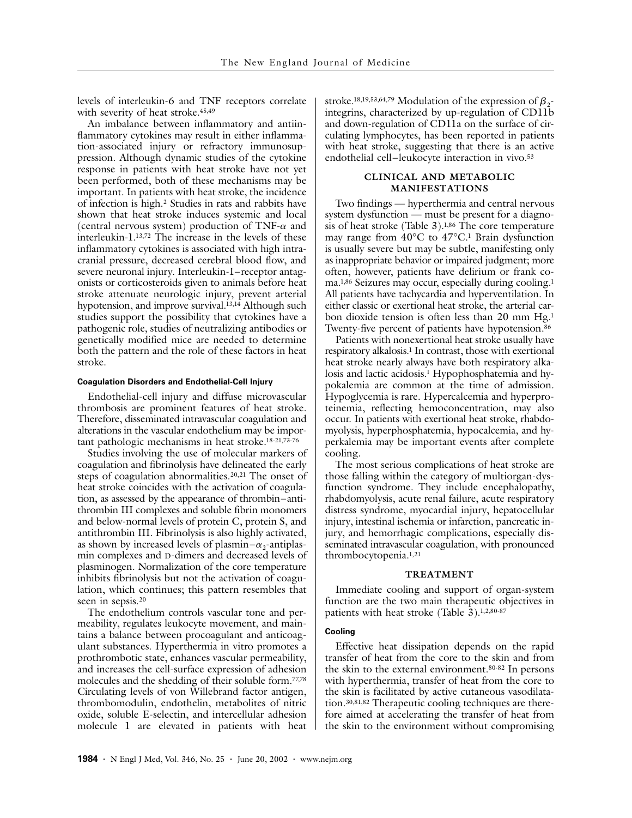levels of interleukin-6 and TNF receptors correlate with severity of heat stroke.<sup>45,49</sup>

An imbalance between inflammatory and antiinflammatory cytokines may result in either inflammation-associated injury or refractory immunosuppression. Although dynamic studies of the cytokine response in patients with heat stroke have not yet been performed, both of these mechanisms may be important. In patients with heat stroke, the incidence of infection is high.2 Studies in rats and rabbits have shown that heat stroke induces systemic and local (central nervous system) production of TNF-*a* and interleukin-1.13,72 The increase in the levels of these inflammatory cytokines is associated with high intracranial pressure, decreased cerebral blood flow, and severe neuronal injury. Interleukin-1–receptor antagonists or corticosteroids given to animals before heat stroke attenuate neurologic injury, prevent arterial hypotension, and improve survival.<sup>13,14</sup> Although such studies support the possibility that cytokines have a pathogenic role, studies of neutralizing antibodies or genetically modified mice are needed to determine both the pattern and the role of these factors in heat stroke.

## **Coagulation Disorders and Endothelial-Cell Injury**

Endothelial-cell injury and diffuse microvascular thrombosis are prominent features of heat stroke. Therefore, disseminated intravascular coagulation and alterations in the vascular endothelium may be important pathologic mechanisms in heat stroke.18-21,73-76

Studies involving the use of molecular markers of coagulation and fibrinolysis have delineated the early steps of coagulation abnormalities.<sup>20,21</sup> The onset of heat stroke coincides with the activation of coagulation, as assessed by the appearance of thrombin–antithrombin III complexes and soluble fibrin monomers and below-normal levels of protein C, protein S, and antithrombin III. Fibrinolysis is also highly activated, as shown by increased levels of plasmin– $\alpha_2$ -antiplasmin complexes and D-dimers and decreased levels of plasminogen. Normalization of the core temperature inhibits fibrinolysis but not the activation of coagulation, which continues; this pattern resembles that seen in sepsis.<sup>20</sup>

The endothelium controls vascular tone and permeability, regulates leukocyte movement, and maintains a balance between procoagulant and anticoagulant substances. Hyperthermia in vitro promotes a prothrombotic state, enhances vascular permeability, and increases the cell-surface expression of adhesion molecules and the shedding of their soluble form.77,78 Circulating levels of von Willebrand factor antigen, thrombomodulin, endothelin, metabolites of nitric oxide, soluble E-selectin, and intercellular adhesion molecule 1 are elevated in patients with heat

stroke.<sup>18,19,53,64,79</sup> Modulation of the expression of  $\beta_2$ integrins, characterized by up-regulation of CD11b and down-regulation of CD11a on the surface of circulating lymphocytes, has been reported in patients with heat stroke, suggesting that there is an active endothelial cell–leukocyte interaction in vivo.53

## **CLINICAL AND METABOLIC MANIFESTATIONS**

Two findings — hyperthermia and central nervous system dysfunction — must be present for a diagnosis of heat stroke (Table 3).1,86 The core temperature may range from 40°C to 47°C.1 Brain dysfunction is usually severe but may be subtle, manifesting only as inappropriate behavior or impaired judgment; more often, however, patients have delirium or frank coma.1,86 Seizures may occur, especially during cooling.1 All patients have tachycardia and hyperventilation. In either classic or exertional heat stroke, the arterial carbon dioxide tension is often less than 20 mm Hg.1 Twenty-five percent of patients have hypotension.86

Patients with nonexertional heat stroke usually have respiratory alkalosis.1 In contrast, those with exertional heat stroke nearly always have both respiratory alkalosis and lactic acidosis.<sup>1</sup> Hypophosphatemia and hypokalemia are common at the time of admission. Hypoglycemia is rare. Hypercalcemia and hyperproteinemia, reflecting hemoconcentration, may also occur. In patients with exertional heat stroke, rhabdomyolysis, hyperphosphatemia, hypocalcemia, and hyperkalemia may be important events after complete cooling.

The most serious complications of heat stroke are those falling within the category of multiorgan-dysfunction syndrome. They include encephalopathy, rhabdomyolysis, acute renal failure, acute respiratory distress syndrome, myocardial injury, hepatocellular injury, intestinal ischemia or infarction, pancreatic injury, and hemorrhagic complications, especially disseminated intravascular coagulation, with pronounced thrombocytopenia.1,21

#### **TREATMENT**

Immediate cooling and support of organ-system function are the two main therapeutic objectives in patients with heat stroke (Table 3).1,2,80-87

### **Cooling**

Effective heat dissipation depends on the rapid transfer of heat from the core to the skin and from the skin to the external environment.80-82 In persons with hyperthermia, transfer of heat from the core to the skin is facilitated by active cutaneous vasodilatation.30,81,82 Therapeutic cooling techniques are therefore aimed at accelerating the transfer of heat from the skin to the environment without compromising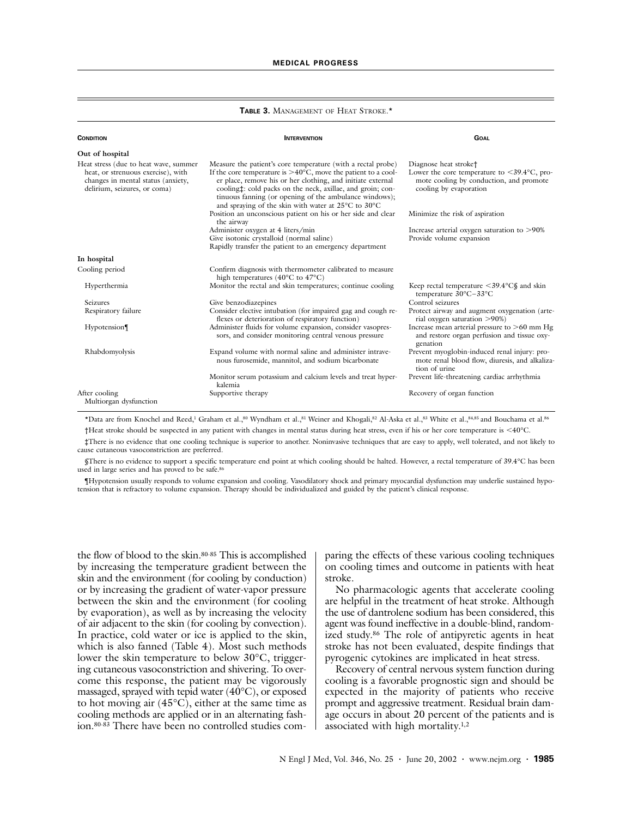#### **TABLE 3.** MANAGEMENT OF HEAT STROKE.\*

| <b>CONDITION</b>                                                                                                                                  | <b>INTERVENTION</b>                                                                                                                                                                                                                                                                                                                                                                  | <b>GOAL</b>                                                                                                                                                         |
|---------------------------------------------------------------------------------------------------------------------------------------------------|--------------------------------------------------------------------------------------------------------------------------------------------------------------------------------------------------------------------------------------------------------------------------------------------------------------------------------------------------------------------------------------|---------------------------------------------------------------------------------------------------------------------------------------------------------------------|
| Out of hospital                                                                                                                                   |                                                                                                                                                                                                                                                                                                                                                                                      |                                                                                                                                                                     |
| Heat stress (due to heat wave, summer<br>heat, or strenuous exercise), with<br>changes in mental status (anxiety,<br>delirium, seizures, or coma) | Measure the patient's core temperature (with a rectal probe)<br>If the core temperature is $>40^{\circ}$ C, move the patient to a cool-<br>er place, remove his or her clothing, and initiate external<br>cooling: cold packs on the neck, axillae, and groin; con-<br>tinuous fanning (or opening of the ambulance windows);<br>and spraying of the skin with water at 25°C to 30°C | Diagnose heat stroke <sup>+</sup><br>Lower the core temperature to $\leq 39.4^{\circ}$ C, pro-<br>mote cooling by conduction, and promote<br>cooling by evaporation |
|                                                                                                                                                   | Position an unconscious patient on his or her side and clear<br>the airway                                                                                                                                                                                                                                                                                                           | Minimize the risk of aspiration                                                                                                                                     |
|                                                                                                                                                   | Administer oxygen at 4 liters/min<br>Give isotonic crystalloid (normal saline)<br>Rapidly transfer the patient to an emergency department                                                                                                                                                                                                                                            | Increase arterial oxygen saturation to >90%<br>Provide volume expansion                                                                                             |
| In hospital                                                                                                                                       |                                                                                                                                                                                                                                                                                                                                                                                      |                                                                                                                                                                     |
| Cooling period                                                                                                                                    | Confirm diagnosis with thermometer calibrated to measure<br>high temperatures (40 $\rm{^{\circ}C}$ to 47 $\rm{^{\circ}C}$ )                                                                                                                                                                                                                                                          |                                                                                                                                                                     |
| Hyperthermia                                                                                                                                      | Monitor the rectal and skin temperatures; continue cooling                                                                                                                                                                                                                                                                                                                           | Keep rectal temperature $\langle 39.4^{\circ} \text{C}\xi \rangle$ and skin<br>temperature 30°C-33°C                                                                |
| <b>Seizures</b>                                                                                                                                   | Give benzodiazepines                                                                                                                                                                                                                                                                                                                                                                 | Control seizures                                                                                                                                                    |
| Respiratory failure                                                                                                                               | Consider elective intubation (for impaired gag and cough re-<br>flexes or deterioration of respiratory function)                                                                                                                                                                                                                                                                     | Protect airway and augment oxygenation (arte-<br>rial oxygen saturation >90%)                                                                                       |
| Hypotension                                                                                                                                       | Administer fluids for volume expansion, consider vasopres-<br>sors, and consider monitoring central venous pressure                                                                                                                                                                                                                                                                  | Increase mean arterial pressure to $>60$ mm Hg<br>and restore organ perfusion and tissue oxy-<br>genation                                                           |
| Rhabdomyolysis                                                                                                                                    | Expand volume with normal saline and administer intrave-<br>nous furosemide, mannitol, and sodium bicarbonate                                                                                                                                                                                                                                                                        | Prevent myoglobin-induced renal injury: pro-<br>mote renal blood flow, diuresis, and alkaliza-<br>tion of urine                                                     |
|                                                                                                                                                   | Monitor serum potassium and calcium levels and treat hyper-<br>kalemia                                                                                                                                                                                                                                                                                                               | Prevent life-threatening cardiac arrhythmia                                                                                                                         |
| After cooling<br>Multiorgan dysfunction                                                                                                           | Supportive therapy                                                                                                                                                                                                                                                                                                                                                                   | Recovery of organ function                                                                                                                                          |

\*Data are from Knochel and Reed,<sup>1</sup> Graham et al.,<sup>80</sup> Wyndham et al.,<sup>81</sup> Weiner and Khogali,<sup>82</sup> Al-Aska et al.,<sup>83</sup> White et al.,<sup>84,85</sup> and Bouchama et al.<sup>86</sup> †Heat stroke should be suspected in any patient with changes in mental status during heat stress, even if his or her core temperature is <40°C.

‡There is no evidence that one cooling technique is superior to another. Noninvasive techniques that are easy to apply, well tolerated, and not likely to cause cutaneous vasoconstriction are preferred.

§There is no evidence to support a specific temperature end point at which cooling should be halted. However, a rectal temperature of 39.4°C has been used in large series and has proved to be safe.<sup>86</sup>

¶Hypotension usually responds to volume expansion and cooling. Vasodilatory shock and primary myocardial dysfunction may underlie sustained hypotension that is refractory to volume expansion. Therapy should be individualized and guided by the patient's clinical response.

the flow of blood to the skin.80-85 This is accomplished by increasing the temperature gradient between the skin and the environment (for cooling by conduction) or by increasing the gradient of water-vapor pressure between the skin and the environment (for cooling by evaporation), as well as by increasing the velocity of air adjacent to the skin (for cooling by convection). In practice, cold water or ice is applied to the skin, which is also fanned (Table 4). Most such methods lower the skin temperature to below 30°C, triggering cutaneous vasoconstriction and shivering. To overcome this response, the patient may be vigorously massaged, sprayed with tepid water (40°C), or exposed to hot moving air  $(45^{\circ}C)$ , either at the same time as cooling methods are applied or in an alternating fashion.80-83 There have been no controlled studies comparing the effects of these various cooling techniques on cooling times and outcome in patients with heat stroke.

No pharmacologic agents that accelerate cooling are helpful in the treatment of heat stroke. Although the use of dantrolene sodium has been considered, this agent was found ineffective in a double-blind, randomized study.86 The role of antipyretic agents in heat stroke has not been evaluated, despite findings that pyrogenic cytokines are implicated in heat stress.

Recovery of central nervous system function during cooling is a favorable prognostic sign and should be expected in the majority of patients who receive prompt and aggressive treatment. Residual brain damage occurs in about 20 percent of the patients and is associated with high mortality.1,2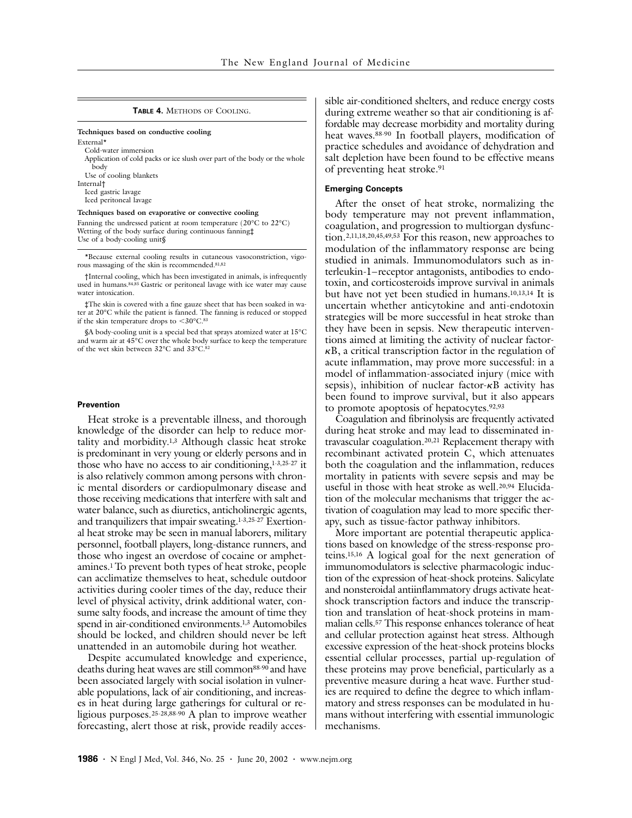#### **TABLE 4.** METHODS OF COOLING.

#### **Techniques based on conductive cooling** External<sup>\*</sup>

Cold-water immersion Application of cold packs or ice slush over part of the body or the whole body Use of cooling blankets Internal† Iced gastric lavage Iced peritoneal lavage **Techniques based on evaporative or convective cooling**

Fanning the undressed patient at room temperature (20°C to 22°C) Wetting of the body surface during continuous fanning‡ Use of a body-cooling unit§

\*Because external cooling results in cutaneous vasoconstriction, vigorous massaging of the skin is recommended.81,82

†Internal cooling, which has been investigated in animals, is infrequently used in humans.84,85 Gastric or peritoneal lavage with ice water may cause water intoxication.

‡The skin is covered with a fine gauze sheet that has been soaked in water at 20°C while the patient is fanned. The fanning is reduced or stopped if the skin temperature drops to <30°C.83

§A body-cooling unit is a special bed that sprays atomized water at 15°C and warm air at 45°C over the whole body surface to keep the temperature of the wet skin between 32°C and 33°C.82

#### **Prevention**

Heat stroke is a preventable illness, and thorough knowledge of the disorder can help to reduce mortality and morbidity.1,3 Although classic heat stroke is predominant in very young or elderly persons and in those who have no access to air conditioning, $1-3,25-27$  it is also relatively common among persons with chronic mental disorders or cardiopulmonary disease and those receiving medications that interfere with salt and water balance, such as diuretics, anticholinergic agents, and tranquilizers that impair sweating.1-3,25-27 Exertional heat stroke may be seen in manual laborers, military personnel, football players, long-distance runners, and those who ingest an overdose of cocaine or amphetamines.1 To prevent both types of heat stroke, people can acclimatize themselves to heat, schedule outdoor activities during cooler times of the day, reduce their level of physical activity, drink additional water, consume salty foods, and increase the amount of time they spend in air-conditioned environments.<sup>1,3</sup> Automobiles should be locked, and children should never be left unattended in an automobile during hot weather.

Despite accumulated knowledge and experience, deaths during heat waves are still common<sup>88-90</sup> and have been associated largely with social isolation in vulnerable populations, lack of air conditioning, and increases in heat during large gatherings for cultural or religious purposes.25-28,88-90 A plan to improve weather forecasting, alert those at risk, provide readily accessible air-conditioned shelters, and reduce energy costs during extreme weather so that air conditioning is affordable may decrease morbidity and mortality during heat waves.88-90 In football players, modification of practice schedules and avoidance of dehydration and salt depletion have been found to be effective means of preventing heat stroke.91

### **Emerging Concepts**

After the onset of heat stroke, normalizing the body temperature may not prevent inflammation, coagulation, and progression to multiorgan dysfunction.2,11,18,20,45,49,53 For this reason, new approaches to modulation of the inflammatory response are being studied in animals. Immunomodulators such as interleukin-1–receptor antagonists, antibodies to endotoxin, and corticosteroids improve survival in animals but have not yet been studied in humans.10,13,14 It is uncertain whether anticytokine and anti-endotoxin strategies will be more successful in heat stroke than they have been in sepsis. New therapeutic interventions aimed at limiting the activity of nuclear factor*k*B, a critical transcription factor in the regulation of acute inflammation, may prove more successful: in a model of inflammation-associated injury (mice with sepsis), inhibition of nuclear factor-*k*B activity has been found to improve survival, but it also appears to promote apoptosis of hepatocytes.<sup>92,93</sup>

Coagulation and fibrinolysis are frequently activated during heat stroke and may lead to disseminated intravascular coagulation.20,21 Replacement therapy with recombinant activated protein C, which attenuates both the coagulation and the inflammation, reduces mortality in patients with severe sepsis and may be useful in those with heat stroke as well.<sup>20,94</sup> Elucidation of the molecular mechanisms that trigger the activation of coagulation may lead to more specific therapy, such as tissue-factor pathway inhibitors.

More important are potential therapeutic applications based on knowledge of the stress-response proteins.15,16 A logical goal for the next generation of immunomodulators is selective pharmacologic induction of the expression of heat-shock proteins. Salicylate and nonsteroidal antiinflammatory drugs activate heatshock transcription factors and induce the transcription and translation of heat-shock proteins in mammalian cells.57 This response enhances tolerance of heat and cellular protection against heat stress. Although excessive expression of the heat-shock proteins blocks essential cellular processes, partial up-regulation of these proteins may prove beneficial, particularly as a preventive measure during a heat wave. Further studies are required to define the degree to which inflammatory and stress responses can be modulated in humans without interfering with essential immunologic mechanisms.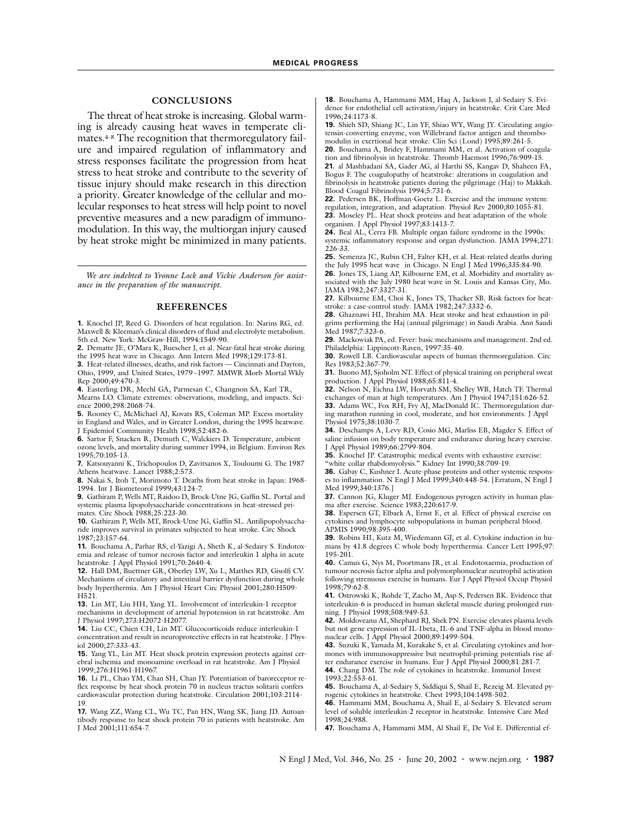## **CONCLUSIONS**

The threat of heat stroke is increasing. Global warming is already causing heat waves in temperate climates.4-8 The recognition that thermoregulatory failure and impaired regulation of inflammatory and stress responses facilitate the progression from heat stress to heat stroke and contribute to the severity of tissue injury should make research in this direction a priority. Greater knowledge of the cellular and molecular responses to heat stress will help point to novel preventive measures and a new paradigm of immunomodulation. In this way, the multiorgan injury caused by heat stroke might be minimized in many patients.

*We are indebted to Yvonne Lock and Vickie Anderson for assistance in the preparation of the manuscript.*

#### **REFERENCES**

**1.** Knochel JP, Reed G. Disorders of heat regulation. In: Narins RG, ed. Maxwell & Kleeman's clinical disorders of fluid and electrolyte metabolism. 5th ed. New York: McGraw-Hill, 1994:1549-90.

**2.** Dematte JE, O'Mara K, Buescher J, et al. Near-fatal heat stroke during the 1995 heat wave in Chicago. Ann Intern Med 1998;129:173-81.

**3.** Heat-related illnesses, deaths, and risk factors — Cincinnati and Dayton, Ohio, 1999, and United States, 1979–1997. MMWR Morb Mortal Wkly Rep 2000;49:470-3.

**4.** Easterling DR, Meehl GA, Parmesan C, Changnon SA, Karl TR, Mearns LO. Climate extremes: observations, modeling, and impacts. Science 2000;298:2068-74.

**5.** Rooney C, McMichael AJ, Kovats RS, Coleman MP. Excess mortality in England and Wales, and in Greater London, during the 1995 heatwave. J Epidemiol Community Health 1998;52:482-6.

**6.** Sartor F, Snacken R, Demuth C, Walckiers D. Temperature, ambient ozone levels, and mortality during summer 1994, in Belgium. Environ Res 1995;70:105-13.

**7.** Katsouyanni K, Trichopoulos D, Zavitsanos X, Touloumi G. The 1987 Athens heatwave. Lancet 1988;2:573.

**8.** Nakai S, Itoh T, Morimoto T. Deaths from heat stroke in Japan: 1968- 1994. Int J Biometeorol 1999;43:124-7.

**9.** Gathiram P, Wells MT, Raidoo D, Brock-Utne JG, Gaffin SL. Portal and systemic plasma lipopolysaccharide concentrations in heat-stressed primates. Circ Shock 1988;25:223-30.

**10.** Gathiram P, Wells MT, Brock-Utne JG, Gaffin SL. Antilipopolysaccharide improves survival in primates subjected to heat stroke. Circ Shock 1987;23:157-64.

**11.** Bouchama A, Parhar RS, el-Yazigi A, Sheth K, al-Sedairy S. Endotoxemia and release of tumor necrosis factor and interleukin 1 alpha in acute heatstroke. J Appl Physiol 1991;70:2640-4.

**12.** Hall DM, Buettner GR, Oberley LW, Xu L, Matthes RD, Gisolfi CV. Mechanisms of circulatory and intestinal barrier dysfunction during whole body hyperthermia. Am J Physiol Heart Circ Physiol 2001;280:H509- H521.

**13.** Lin MT, Liu HH, Yang YL. Involvement of interleukin-1 receptor mechanisms in development of arterial hypotension in rat heatstroke. Am J Physiol 1997;273:H2072-H2077.

**14.** Liu CC, Chien CH, Lin MT. Glucocorticoids reduce interleukin-1 concentration and result in neuroprotective effects in rat heatstroke. J Physiol 2000;27:333-43.

**15.** Yang YL, Lin MT. Heat shock protein expression protects against cerebral ischemia and monoamine overload in rat heatstroke. Am J Physiol 1999;276:H1961-H1967.

**16.** Li PL, Chao YM, Chan SH, Chan JY. Potentiation of baroreceptor reflex response by heat shock protein 70 in nucleus tractus solitarii confers cardiovascular protection during heatstroke. Circulation 2001;103:2114- 19.

**17.** Wang ZZ, Wang CL, Wu TC, Pan HN, Wang SK, Jiang JD. Autoantibody response to heat shock protein 70 in patients with heatstroke. Am J Med 2001;111:654-7.

**18.** Bouchama A, Hammami MM, Haq A, Jackson J, al-Sedairy S. Evidence for endothelial cell activation/injury in heatstroke. Crit Care Med 1996;24:1173-8.

**19.** Shieh SD, Shiang JC, Lin YF, Shiao WY, Wang JY. Circulating angiotensin-converting enzyme, von Willebrand factor antigen and thrombomodulin in exertional heat stroke. Clin Sci (Lond) 1995;89:261-5.

**20.** Bouchama A, Bridey F, Hammami MM, et al. Activation of coagulation and fibrinolysis in heatstroke. Thromb Haemost 1996;76:909-15. **21.** al Mashhadani SA, Gader AG, al Harthi SS, Kangav D, Shaheen FA, Bogus F. The coagulopathy of heatstroke: alterations in coagulation and

fibrinolysis in heatstroke patients during the pilgrimage (Haj) to Makkah. Blood Coagul Fibrinolysis 1994;5:731-6. **22.** Pedersen BK, Hoffman-Goetz L. Exercise and the immune system:

regulation, integration, and adaptation. Physiol Rev 2000;80:1055-81. **23.** Moseley PL. Heat shock proteins and heat adaptation of the whole organism. J Appl Physiol 1997;83:1413-7.

**24.** Beal AL, Cerra FB. Multiple organ failure syndrome in the 1990s: systemic inflammatory response and organ dysfunction. JAMA 1994;271: 226-33.

**25.** Semenza JC, Rubin CH, Falter KH, et al. Heat-related deaths during the July 1995 heat wave in Chicago. N Engl J Med 1996;335:84-90.

**26.** Jones TS, Liang AP, Kilbourne EM, et al. Morbidity and mortality associated with the July 1980 heat wave in St. Louis and Kansas City, Mo. JAMA 1982;247:3327-31.

**27.** Kilbourne EM, Choi K, Jones TS, Thacker SB. Risk factors for heatstroke: a case-control study. JAMA 1982;247:3332-6.

**28.** Ghaznawi HI, Ibrahim MA. Heat stroke and heat exhaustion in pilgrims performing the Haj (annual pilgrimage) in Saudi Arabia. Ann Saudi Med 1987;7:323-6.

**29.** Mackowiak PA, ed. Fever: basic mechanisms and management. 2nd ed. Philadelphia: Lippincott-Raven, 1997:35-40.

**30.** Rowell LB. Cardiovascular aspects of human thermoregulation. Circ Res 1983;52:367-79.

**31.** Buono MJ, Sjoholm NT. Effect of physical training on peripheral sweat production. J Appl Physiol 1988;65:811-4.

**32.** Nelson N, Eichna LW, Horvath SM, Shelley WB, Hatch TF. Thermal exchanges of man at high temperatures. Am J Physiol 1947;151:626-52.

**33.** Adams WC, Fox RH, Fry AJ, MacDonald IC. Thermoregulation during marathon running in cool, moderate, and hot environments. J Appl Physiol 1975;38:1030-7.

**34.** Deschamps A, Levy RD, Cosio MG, Marliss EB, Magder S. Effect of saline infusion on body temperature and endurance during heavy exercise. J Appl Physiol 1989;66:2799-804.

**35.** Knochel JP. Catastrophic medical events with exhaustive exercise:

"white collar rhabdomyolysis." Kidney Int 1990;38:709-19.

**36.** Gabay C, Kushner I. Acute-phase proteins and other systemic responses to inflammation. N Engl J Med 1999;340:448-54. [Erratum, N Engl J Med 1999;340:1376.]

**37.** Cannon JG, Kluger MJ. Endogenous pyrogen activity in human plasma after exercise. Science 1983;220:617-9.

**38.** Espersen GT, Elbaek A, Ernst E, et al. Effect of physical exercise on cytokines and lymphocyte subpopulations in human peripheral blood. APMIS 1990;98:395-400.

**39.** Robins HI, Kutz M, Wiedemann GJ, et al. Cytokine induction in humans by 41.8 degrees C whole body hyperthermia. Cancer Lett 1995;97: 195-201.

**40.** Camus G, Nys M, Poortmans JR, et al. Endotoxaemia, production of tumour necrosis factor alpha and polymorphonuclear neutrophil activation following strenuous exercise in humans. Eur J Appl Physiol Occup Physiol 1998;79:62-8.

**41.** Ostrowski K, Rohde T, Zacho M, Asp S, Pedersen BK. Evidence that interleukin-6 is produced in human skeletal muscle during prolonged running. J Physiol 1998;508:949-53.

**42.** Moldoveanu AI, Shephard RJ, Shek PN. Exercise elevates plasma levels but not gene expression of IL-1beta, IL-6 and TNF-alpha in blood mononuclear cells. J Appl Physiol 2000;89:1499-504.

**43.** Suzuki K, Yamada M, Kurakake S, et al. Circulating cytokines and hormones with immunosuppressive but neutrophil-priming potentials rise af-

ter endurance exercise in humans. Eur J Appl Physiol 2000;81:281-7. **44.** Chang DM. The role of cytokines in heatstroke. Immunol Invest 1993;22:553-61.

**45.** Bouchama A, al-Sedairy S, Siddiqui S, Shail E, Rezeig M. Elevated pyrogenic cytokines in heatstroke. Chest 1993;104:1498-502.

**46.** Hammami MM, Bouchama A, Shail E, al-Sedairy S. Elevated serum level of soluble interleukin-2 receptor in heatstroke. Intensive Care Med 1998;24:988.

**47.** Bouchama A, Hammami MM, Al Shail E, De Vol E. Differential ef-